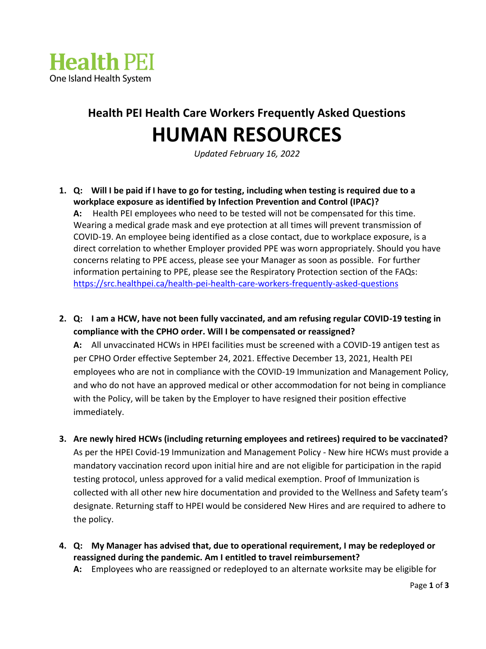

## **Health PEI Health Care Workers Frequently Asked Questions HUMAN RESOURCES**

*Updated February 16, 2022*

- **1. Q: Will I be paid if I have to go for testing, including when testing is required due to a workplace exposure as identified by Infection Prevention and Control (IPAC)? A:** Health PEI employees who need to be tested will not be compensated for this time. Wearing a medical grade mask and eye protection at all times will prevent transmission of COVID-19. An employee being identified as a close contact, due to workplace exposure, is a direct correlation to whether Employer provided PPE was worn appropriately. Should you have concerns relating to PPE access, please see your Manager as soon as possible. For further information pertaining to PPE, please see the Respiratory Protection section of the FAQs: <https://src.healthpei.ca/health-pei-health-care-workers-frequently-asked-questions>
- **2. Q: I am a HCW, have not been fully vaccinated, and am refusing regular COVID-19 testing in compliance with the CPHO order. Will I be compensated or reassigned?**

**A:** All unvaccinated HCWs in HPEI facilities must be screened with a COVID-19 antigen test as per CPHO Order effective September 24, 2021. Effective December 13, 2021, Health PEI employees who are not in compliance with the COVID-19 Immunization and Management Policy, and who do not have an approved medical or other accommodation for not being in compliance with the Policy, will be taken by the Employer to have resigned their position effective immediately.

- **3. Are newly hired HCWs (including returning employees and retirees) required to be vaccinated?** As per the HPEI Covid-19 Immunization and Management Policy - New hire HCWs must provide a mandatory vaccination record upon initial hire and are not eligible for participation in the rapid testing protocol, unless approved for a valid medical exemption. Proof of Immunization is collected with all other new hire documentation and provided to the Wellness and Safety team's designate. Returning staff to HPEI would be considered New Hires and are required to adhere to the policy.
- **4. Q: My Manager has advised that, due to operational requirement, I may be redeployed or reassigned during the pandemic. Am I entitled to travel reimbursement?**
	- **A:** Employees who are reassigned or redeployed to an alternate worksite may be eligible for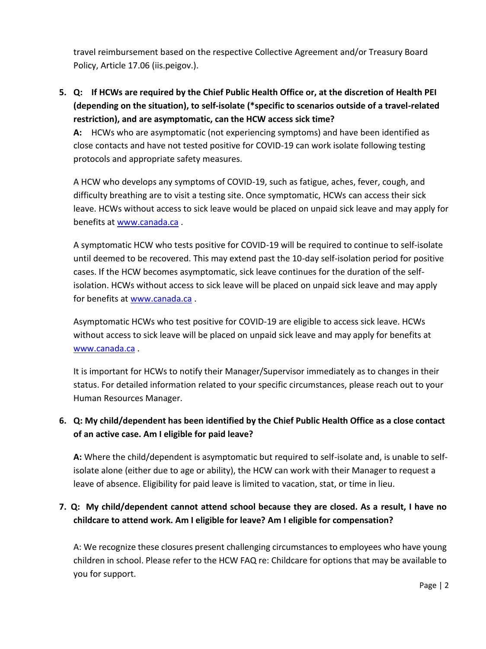travel reimbursement based on the respective Collective Agreement and/or Treasury Board Policy, Article 17.06 (iis.peigov.).

**5. Q: If HCWs are required by the Chief Public Health Office or, at the discretion of Health PEI (depending on the situation), to self-isolate (\*specific to scenarios outside of a travel-related restriction), and are asymptomatic, can the HCW access sick time?**

**A:** HCWs who are asymptomatic (not experiencing symptoms) and have been identified as close contacts and have not tested positive for COVID-19 can work isolate following testing protocols and appropriate safety measures.

A HCW who develops any symptoms of COVID-19, such as fatigue, aches, fever, cough, and difficulty breathing are to visit a testing site. Once symptomatic, HCWs can access their sick leave. HCWs without access to sick leave would be placed on unpaid sick leave and may apply for benefits at [www.canada.ca](http://www.canada.ca/) .

A symptomatic HCW who tests positive for COVID-19 will be required to continue to self-isolate until deemed to be recovered. This may extend past the 10-day self-isolation period for positive cases. If the HCW becomes asymptomatic, sick leave continues for the duration of the selfisolation. HCWs without access to sick leave will be placed on unpaid sick leave and may apply for benefits at [www.canada.ca](http://www.canada.ca/) .

Asymptomatic HCWs who test positive for COVID-19 are eligible to access sick leave. HCWs without access to sick leave will be placed on unpaid sick leave and may apply for benefits at [www.canada.ca](http://www.canada.ca/) .

It is important for HCWs to notify their Manager/Supervisor immediately as to changes in their status. For detailed information related to your specific circumstances, please reach out to your Human Resources Manager.

## **6. Q: My child/dependent has been identified by the Chief Public Health Office as a close contact of an active case. Am I eligible for paid leave?**

**A:** Where the child/dependent is asymptomatic but required to self-isolate and, is unable to selfisolate alone (either due to age or ability), the HCW can work with their Manager to request a leave of absence. Eligibility for paid leave is limited to vacation, stat, or time in lieu.

## **7. Q: My child/dependent cannot attend school because they are closed. As a result, I have no childcare to attend work. Am I eligible for leave? Am I eligible for compensation?**

A: We recognize these closures present challenging circumstances to employees who have young children in school. Please refer to the HCW FAQ re: Childcare for options that may be available to you for support.